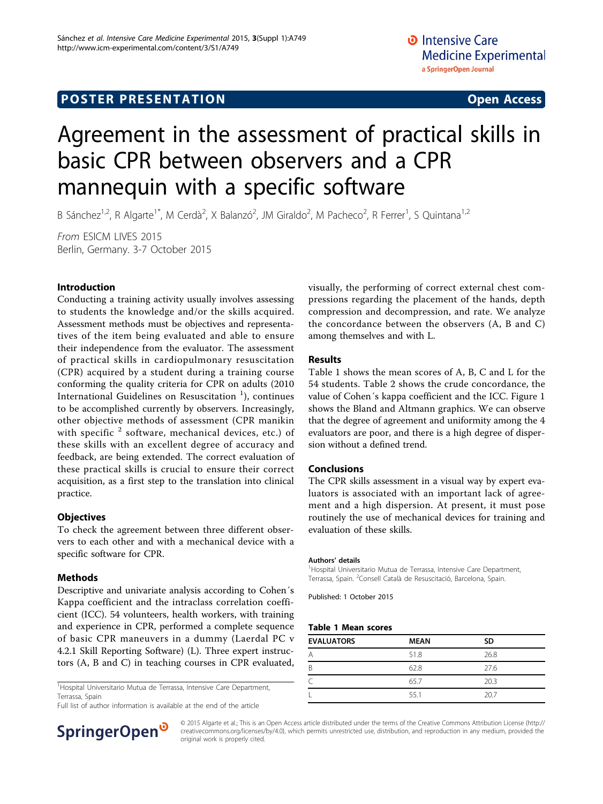# Agreement in the assessment of practical skills in basic CPR between observers and a CPR mannequin with a specific software

B Sánchez<sup>1,2</sup>, R Algarte<sup>1\*</sup>, M Cerdà<sup>2</sup>, X Balanzó<sup>2</sup>, JM Giraldo<sup>2</sup>, M Pacheco<sup>2</sup>, R Ferrer<sup>1</sup>, S Quintana<sup>1,2</sup>

From ESICM LIVES 2015 Berlin, Germany. 3-7 October 2015

## Introduction

Conducting a training activity usually involves assessing to students the knowledge and/or the skills acquired. Assessment methods must be objectives and representatives of the item being evaluated and able to ensure their independence from the evaluator. The assessment of practical skills in cardiopulmonary resuscitation (CPR) acquired by a student during a training course conforming the quality criteria for CPR on adults (2010 International Guidelines on Resuscitation  $^1$ ), continues to be accomplished currently by observers. Increasingly, other objective methods of assessment (CPR manikin with specific  $2$  software, mechanical devices, etc.) of these skills with an excellent degree of accuracy and feedback, are being extended. The correct evaluation of these practical skills is crucial to ensure their correct acquisition, as a first step to the translation into clinical practice.

### **Objectives**

To check the agreement between three different observers to each other and with a mechanical device with a specific software for CPR.

# Methods

Descriptive and univariate analysis according to Cohen´s Kappa coefficient and the intraclass correlation coefficient (ICC). 54 volunteers, health workers, with training and experience in CPR, performed a complete sequence of basic CPR maneuvers in a dummy (Laerdal PC v 4.2.1 Skill Reporting Software) (L). Three expert instructors (A, B and C) in teaching courses in CPR evaluated,

<sup>1</sup> Hospital Universitario Mutua de Terrassa, Intensive Care Department, Terrassa, Spain

Full list of author information is available at the end of the article



#### Results

Table 1 shows the mean scores of A, B, C and L for the 54 students. Table [2](#page-1-0) shows the crude concordance, the value of Cohen´s kappa coefficient and the ICC. Figure [1](#page-1-0) shows the Bland and Altmann graphics. We can observe that the degree of agreement and uniformity among the 4 evaluators are poor, and there is a high degree of dispersion without a defined trend.

### Conclusions

The CPR skills assessment in a visual way by expert evaluators is associated with an important lack of agreement and a high dispersion. At present, it must pose routinely the use of mechanical devices for training and evaluation of these skills.

#### Authors' details <sup>1</sup>

<sup>1</sup> Hospital Universitario Mutua de Terrassa, Intensive Care Department, Terrassa, Spain. <sup>2</sup> Consell Català de Resuscitació, Barcelona, Spain.

Published: 1 October 2015

### Table 1 Mean scores

| <b>EVALUATORS</b> | <b>MEAN</b> | SD   |
|-------------------|-------------|------|
| A                 | 51.8        | 26.8 |
| B                 | 62.8        | 27.6 |
|                   | 65.7        | 20.3 |
| I                 | 55.1        | 20.7 |



© 2015 Algarte et al.; This is an Open Access article distributed under the terms of the Creative Commons Attribution License [\(http://](http://creativecommons.org/licenses/by/4.0) [creativecommons.org/licenses/by/4.0](http://creativecommons.org/licenses/by/4.0)), which permits unrestricted use, distribution, and reproduction in any medium, provided the original work is properly cited.